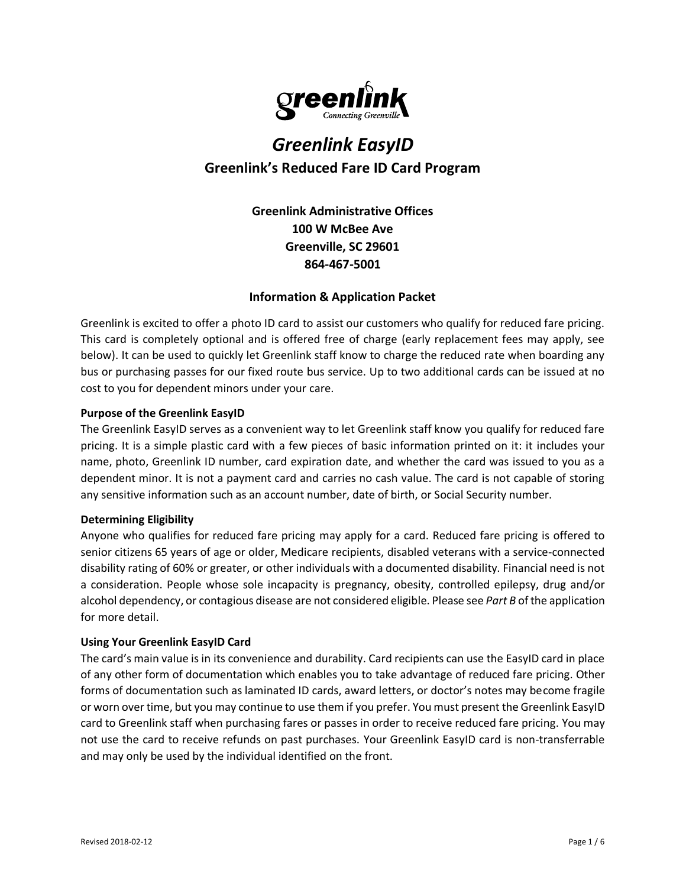

# *Greenlink EasyID* **Greenlink's Reduced Fare ID Card Program**

**Greenlink Administrative Offices 100 W McBee Ave Greenville, SC 29601 864-467-5001**

# **Information & Application Packet**

Greenlink is excited to offer a photo ID card to assist our customers who qualify for reduced fare pricing. This card is completely optional and is offered free of charge (early replacement fees may apply, see below). It can be used to quickly let Greenlink staff know to charge the reduced rate when boarding any bus or purchasing passes for our fixed route bus service. Up to two additional cards can be issued at no cost to you for dependent minors under your care.

# **Purpose of the Greenlink EasyID**

The Greenlink EasyID serves as a convenient way to let Greenlink staff know you qualify for reduced fare pricing. It is a simple plastic card with a few pieces of basic information printed on it: it includes your name, photo, Greenlink ID number, card expiration date, and whether the card was issued to you as a dependent minor. It is not a payment card and carries no cash value. The card is not capable of storing any sensitive information such as an account number, date of birth, or Social Security number.

# **Determining Eligibility**

Anyone who qualifies for reduced fare pricing may apply for a card. Reduced fare pricing is offered to senior citizens 65 years of age or older, Medicare recipients, disabled veterans with a service-connected disability rating of 60% or greater, or other individuals with a documented disability. Financial need is not a consideration. People whose sole incapacity is pregnancy, obesity, controlled epilepsy, drug and/or alcohol dependency, or contagious disease are not considered eligible. Please see *Part B* of the application for more detail.

# **Using Your Greenlink EasyID Card**

The card's main value is in its convenience and durability. Card recipients can use the EasyID card in place of any other form of documentation which enables you to take advantage of reduced fare pricing. Other forms of documentation such as laminated ID cards, award letters, or doctor's notes may become fragile or worn over time, but you may continue to use them if you prefer. You must present the Greenlink EasyID card to Greenlink staff when purchasing fares or passes in order to receive reduced fare pricing. You may not use the card to receive refunds on past purchases. Your Greenlink EasyID card is non-transferrable and may only be used by the individual identified on the front.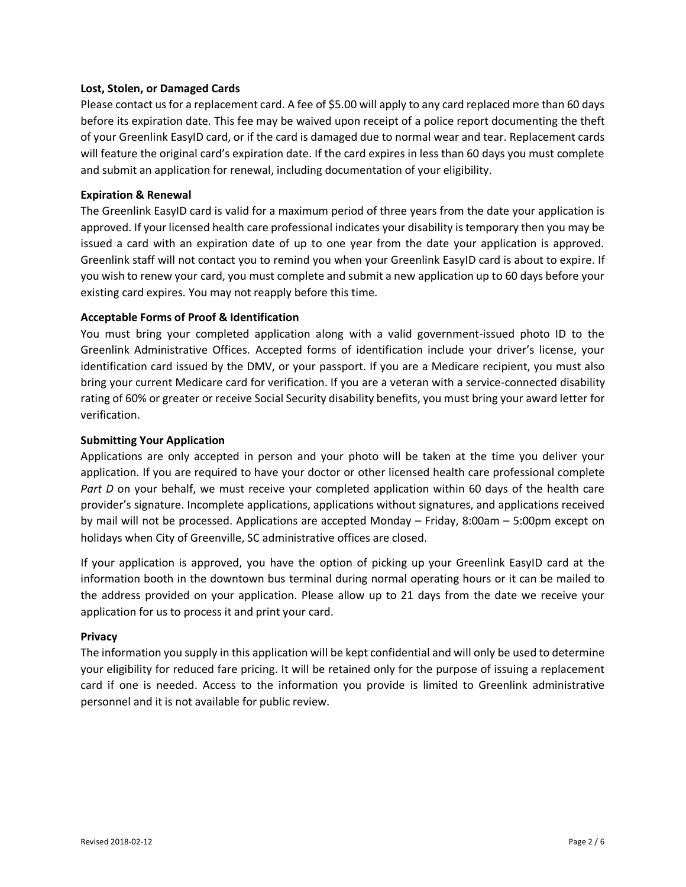#### **Lost, Stolen, or Damaged Cards**

Please contact us for a replacement card. A fee of \$5.00 will apply to any card replaced more than 60 days before its expiration date. This fee may be waived upon receipt of a police report documenting the theft of your Greenlink EasyID card, or if the card is damaged due to normal wear and tear. Replacement cards will feature the original card's expiration date. If the card expires in less than 60 days you must complete and submit an application for renewal, including documentation of your eligibility.

## **Expiration & Renewal**

The Greenlink EasyID card is valid for a maximum period of three years from the date your application is approved. If your licensed health care professional indicates your disability is temporary then you may be issued a card with an expiration date of up to one year from the date your application is approved. Greenlink staff will not contact you to remind you when your Greenlink EasyID card is about to expire. If you wish to renew your card, you must complete and submit a new application up to 60 days before your existing card expires. You may not reapply before this time.

# **Acceptable Forms of Proof & Identification**

You must bring your completed application along with a valid government-issued photo ID to the Greenlink Administrative Offices. Accepted forms of identification include your driver's license, your identification card issued by the DMV, or your passport. If you are a Medicare recipient, you must also bring your current Medicare card for verification. If you are a veteran with a service-connected disability rating of 60% or greater or receive Social Security disability benefits, you must bring your award letter for verification.

#### **Submitting Your Application**

Applications are only accepted in person and your photo will be taken at the time you deliver your application. If you are required to have your doctor or other licensed health care professional complete *Part D* on your behalf, we must receive your completed application within 60 days of the health care provider's signature. Incomplete applications, applications without signatures, and applications received by mail will not be processed. Applications are accepted Monday – Friday, 8:00am – 5:00pm except on holidays when City of Greenville, SC administrative offices are closed.

If your application is approved, you have the option of picking up your Greenlink EasyID card at the information booth in the downtown bus terminal during normal operating hours or it can be mailed to the address provided on your application. Please allow up to 21 days from the date we receive your application for us to process it and print your card.

#### **Privacy**

The information you supply in this application will be kept confidential and will only be used to determine your eligibility for reduced fare pricing. It will be retained only for the purpose of issuing a replacement card if one is needed. Access to the information you provide is limited to Greenlink administrative personnel and it is not available for public review.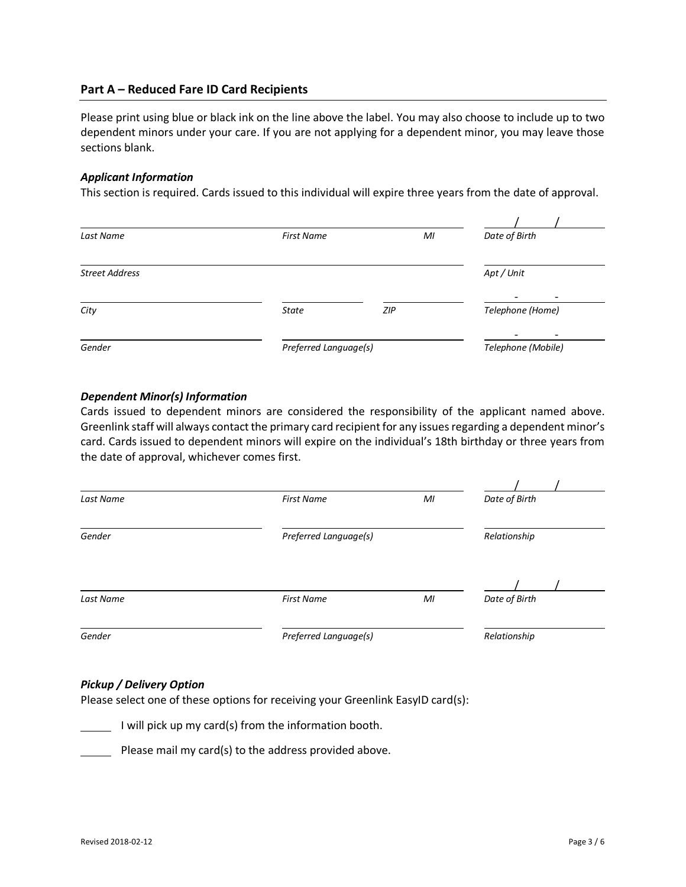# **Part A – Reduced Fare ID Card Recipients**

Please print using blue or black ink on the line above the label. You may also choose to include up to two dependent minors under your care. If you are not applying for a dependent minor, you may leave those sections blank.

#### *Applicant Information*

This section is required. Cards issued to this individual will expire three years from the date of approval.

| Last Name             | <b>First Name</b>     | MI  | Date of Birth      |
|-----------------------|-----------------------|-----|--------------------|
| <b>Street Address</b> |                       |     | Apt / Unit         |
| City                  | <b>State</b>          | ZIP | Telephone (Home)   |
| Gender                | Preferred Language(s) |     | Telephone (Mobile) |

# *Dependent Minor(s) Information*

Cards issued to dependent minors are considered the responsibility of the applicant named above. Greenlink staff will always contact the primary card recipient for any issues regarding a dependent minor's card. Cards issued to dependent minors will expire on the individual's 18th birthday or three years from the date of approval, whichever comes first.

| Last Name | <b>First Name</b>     | MI           | Date of Birth |  |
|-----------|-----------------------|--------------|---------------|--|
| Gender    | Preferred Language(s) | Relationship |               |  |
| Last Name | <b>First Name</b>     | MI           | Date of Birth |  |
| Gender    | Preferred Language(s) |              | Relationship  |  |

# *Pickup / Delivery Option*

Please select one of these options for receiving your Greenlink EasyID card(s):

 $\blacksquare$  I will pick up my card(s) from the information booth.

Please mail my card(s) to the address provided above.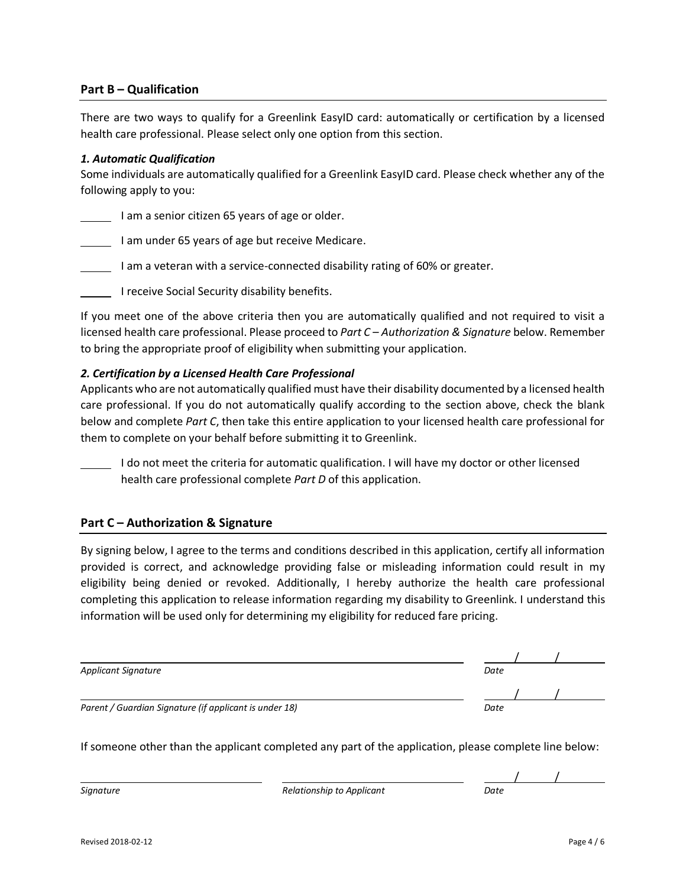# **Part B – Qualification**

There are two ways to qualify for a Greenlink EasyID card: automatically or certification by a licensed health care professional. Please select only one option from this section.

#### *1. Automatic Qualification*

Some individuals are automatically qualified for a Greenlink EasyID card. Please check whether any of the following apply to you:

I am a senior citizen 65 years of age or older.

I am under 65 years of age but receive Medicare.

I am a veteran with a service-connected disability rating of 60% or greater.

I receive Social Security disability benefits.

If you meet one of the above criteria then you are automatically qualified and not required to visit a licensed health care professional. Please proceed to *Part C – Authorization & Signature* below. Remember to bring the appropriate proof of eligibility when submitting your application.

# *2. Certification by a Licensed Health Care Professional*

Applicants who are not automatically qualified must have their disability documented by a licensed health care professional. If you do not automatically qualify according to the section above, check the blank below and complete *Part C*, then take this entire application to your licensed health care professional for them to complete on your behalf before submitting it to Greenlink.

I do not meet the criteria for automatic qualification. I will have my doctor or other licensed health care professional complete *Part D* of this application.

# **Part C – Authorization & Signature**

By signing below, I agree to the terms and conditions described in this application, certify all information provided is correct, and acknowledge providing false or misleading information could result in my eligibility being denied or revoked. Additionally, I hereby authorize the health care professional completing this application to release information regarding my disability to Greenlink. I understand this information will be used only for determining my eligibility for reduced fare pricing.

| <b>Applicant Signature</b>                             | Date |  |
|--------------------------------------------------------|------|--|
|                                                        |      |  |
| Parent / Guardian Signature (if applicant is under 18) | Date |  |

If someone other than the applicant completed any part of the application, please complete line below:

*Signature Relationship to Applicant Relationship to Applicant*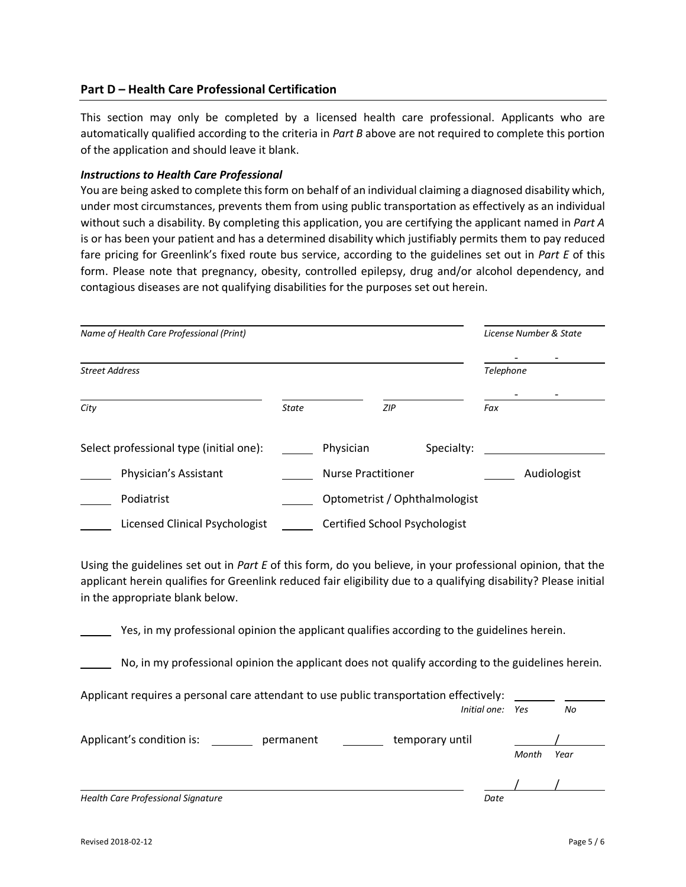# **Part D – Health Care Professional Certification**

This section may only be completed by a licensed health care professional. Applicants who are automatically qualified according to the criteria in *Part B* above are not required to complete this portion of the application and should leave it blank.

## *Instructions to Health Care Professional*

You are being asked to complete this form on behalf of an individual claiming a diagnosed disability which, under most circumstances, prevents them from using public transportation as effectively as an individual without such a disability. By completing this application, you are certifying the applicant named in *Part A* is or has been your patient and has a determined disability which justifiably permits them to pay reduced fare pricing for Greenlink's fixed route bus service, according to the guidelines set out in *Part E* of this form. Please note that pregnancy, obesity, controlled epilepsy, drug and/or alcohol dependency, and contagious diseases are not qualifying disabilities for the purposes set out herein.

| Name of Health Care Professional (Print) |              |                                      | License Number & State |             |  |
|------------------------------------------|--------------|--------------------------------------|------------------------|-------------|--|
| <b>Street Address</b>                    |              |                                      |                        | Telephone   |  |
| City                                     | <b>State</b> | ZIP                                  |                        | Fax         |  |
| Select professional type (initial one):  |              | Physician                            | Specialty:             |             |  |
| Physician's Assistant                    |              | <b>Nurse Practitioner</b>            |                        | Audiologist |  |
| Podiatrist                               |              | Optometrist / Ophthalmologist        |                        |             |  |
| Licensed Clinical Psychologist           |              | <b>Certified School Psychologist</b> |                        |             |  |

Using the guidelines set out in *Part E* of this form, do you believe, in your professional opinion, that the applicant herein qualifies for Greenlink reduced fair eligibility due to a qualifying disability? Please initial in the appropriate blank below.

Yes, in my professional opinion the applicant qualifies according to the guidelines herein.

No, in my professional opinion the applicant does not qualify according to the guidelines herein.

| Applicant requires a personal care attendant to use public transportation effectively: |           |                 |      |       |      |
|----------------------------------------------------------------------------------------|-----------|-----------------|------|-------|------|
|                                                                                        |           | Initial one:    |      | Yes   | No   |
| Applicant's condition is:                                                              | permanent | temporary until |      |       |      |
|                                                                                        |           |                 |      | Month | Year |
|                                                                                        |           |                 |      |       |      |
| Health Care Professional Signature                                                     |           |                 | Date |       |      |